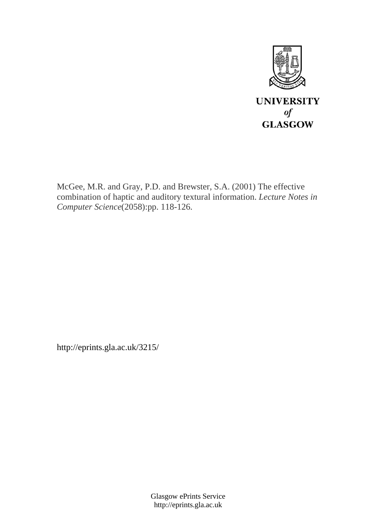

McGee, M.R. and Gray, P.D. and Brewster, S.A. (2001) The effective combination of haptic and auditory textural information. *Lecture Notes in Computer Science*(2058):pp. 118-126.

http://eprints.gla.ac.uk/3215/

Glasgow ePrints Service http://eprints.gla.ac.uk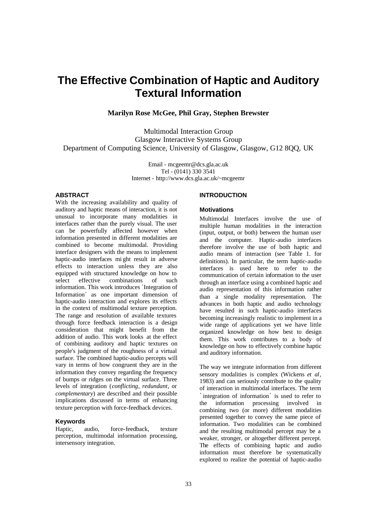# **The Effective Combination of Haptic and Auditory Textural Information**

**Marilyn Rose McGee, Phil Gray, Stephen Brewster**

Multimodal Interaction Group Glasgow Interactive Systems Group Department of Computing Science, University of Glasgow, Glasgow, G12 8QQ, UK

> Email - mcgeemr@dcs.gla.ac.uk Tel - (0141) 330 3541 Internet - http://www.dcs.gla.ac.uk/~mcgeemr

# **ABSTRACT**

With the increasing availability and quality of auditory and haptic means of interaction, it is not unusual to incorporate many modalities in interfaces rather than the purely visual. The user can be powerfully affected however when information presented in different modalities are combined to become multimodal. Providing interface designers with the means to implement haptic-audio interfaces mi ght result in adverse effects to interaction unless they are also equipped with structured knowledge on how to select effective combinations of such information. This work introduces `Integration of Information´ as one important dimension of haptic-audio interaction and explores its effects in the context of multimodal texture perception. The range and resolution of available textures through force feedback interaction is a design consideration that might benefit from the addition of audio. This work looks at the effect of combining auditory and haptic textures on people's judgment of the roughness of a virtual surface. The combined haptic-audio percepts will vary in terms of how congruent they are in the information they convey regarding the frequency of bumps or ridges on the virtual surface. Three levels of integration (*conflicting*, *redundant*, or *complementary*) are described and their possible implications discussed in terms of enhancing texture perception with force-feedback devices.

# **Keywords**

Haptic, audio, force-feedback, texture perception, multimodal information processing, intersensory integration.

#### **INTRODUCTION**

#### **Motivations**

Multimodal Interfaces involve the use of multiple human modalities in the interaction (input, output, or both) between the human user and the computer. Haptic-audio interfaces therefore involve the use of both haptic and audio means of interaction (see Table 1. for definitions). In particular, the term haptic-audio interfaces is used here to refer to the communication of certain information to the user through an interface using a combined haptic and audio representation of this information rather than a single modality representation. The advances in both haptic and audio technology have resulted in such haptic-audio interfaces becoming increasingly realistic to implement in a wide range of applications yet we have little organized knowledge on how best to design them. This work contributes to a body of knowledge on how to effectively combine haptic and auditory information.

The way we integrate information from different sensory modalities is complex (Wickens *et al*, 1983) and can seriously contribute to the quality of interaction in multimodal interfaces. The term `integration of information´ is used to refer to the information processing involved in combining two (or more) different modalities presented together to convey the same piece of information. Two modalities can be combined and the resulting multimodal percept may be a weaker, stronger, or altogether different percept. The effects of combining haptic and audio information must therefore be systematically explored to realize the potential of haptic-audio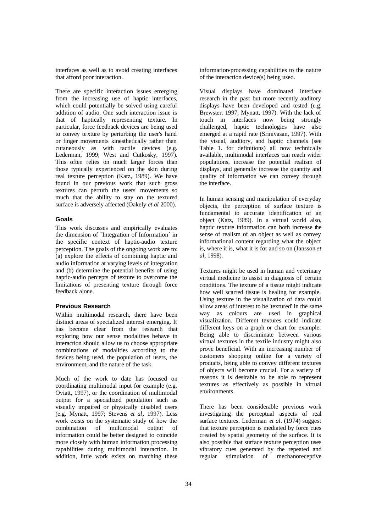interfaces as well as to avoid creating interfaces that afford poor interaction.

There are specific interaction issues emerging from the increasing use of haptic interfaces, which could potentially be solved using careful addition of audio. One such interaction issue is that of haptically representing texture. In particular, force feedback devices are being used to convey te xture by perturbing the user's hand or finger movements kinesthetically rather than cutaneously as with tactile devices (e.g. Lederman, 1999; West and Cutkosky, 1997). This often relies on much larger forces than those typically experienced on the skin during real texture perception (Katz, 1989). We have found in our previous work that such gross textures can perturb the users' movements so much that the ability to stay on the textured surface is adversely affected (Oakely *et al* 2000).

# **Goals**

This work discusses and empirically evaluates the dimension of `Integration of Information´ in the specific context of haptic-audio texture perception. The goals of the ongoing work are to: (a) explore the effects of combining haptic and audio information at varying levels of integration and (b) determine the potential benefits of using haptic-audio percepts of texture to overcome the limitations of presenting texture through force feedback alone.

#### **Previous Research**

Within multimodal research, there have been distinct areas of specialized interest emerging. It has become clear from the research that exploring how our sense modalities behave in interaction should allow us to choose appropriate combinations of modalities according to the devices being used, the population of users, the environment, and the nature of the task.

Much of the work to date has focused on coordinating multimodal input for example (e.g. Oviatt, 1997), or the coordination of multimodal output for a specialized population such as visually impaired or physically disabled users (e.g. Mynatt, 1997; Stevens *et al*, 1997). Less work exists on the systematic study of how the combination of multimodal output of information could be better designed to coincide more closely with human information processing capabilities during multimodal interaction. In addition, little work exists on matching these

information-processing capabilities to the nature of the interaction device(s) being used.

Visual displays have dominated interface research in the past but more recently auditory displays have been developed and tested (e.g. Brewster, 1997; Mynatt, 1997). With the lack of touch in interfaces now being strongly challenged, haptic technologies have also emerged at a rapid rate (Srinivasan, 1997). With the visual, auditory, and haptic channels (see Table 1. for definitions) all now technically available, multimodal interfaces can reach wider populations, increase the potential realism of displays, and generally increase the quantity and quality of information we can convey through the interface.

In human sensing and manipulation of everyday objects, the perception of surface texture is fundamental to accurate identification of an object (Katz, 1989). In a virtual world also, haptic texture information can both increase the sense of realism of an object as well as convey informational content regarding what the object is, where it is, what it is for and so on (Jansson *et al*, 1998).

Textures might be used in human and veterinary virtual medicine to assist in diagnosis of certain conditions. The texture of a tissue might indicate how well scarred tissue is healing for example. Using texture in the visualization of data could allow areas of interest to be 'textured' in the same way as colours are used in graphical visualization. Different textures could indicate different keys on a graph or chart for example. Being able to discriminate between various virtual textures in the textile industry might also prove beneficial. With an increasing number of customers shopping online for a variety of products, being able to convey different textures of objects will become crucial. For a variety of reasons it is desirable to be able to represent textures as effectively as possible in virtual environments.

There has been considerable previous work investigating the perceptual aspects of real surface textures. Lederman *et al*. (1974) suggest that texture perception is mediated by force cues created by spatial geometry of the surface. It is also possible that surface texture perception uses vibratory cues generated by the repeated and regular stimulation of mechanoreceptive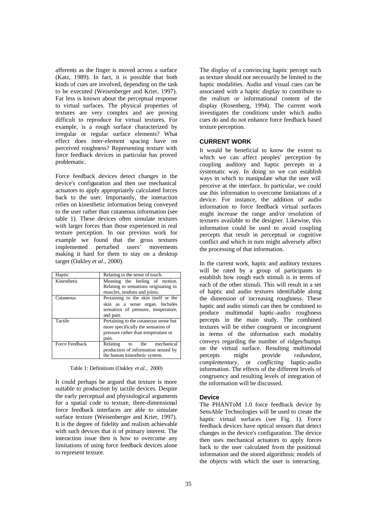afferents as the finger is moved across a surface (Katz, 1989). In fact, it is possible that both kinds of cues are involved, depending on the task to be executed (Weisenberger and Krier, 1997). Far less is known about the perceptual response to virtual surfaces. The physical properties of textures are very complex and are proving difficult to reproduce for virtual textures. For example, is a rough surface characterized by irregular or regular surface elements? What effect does inter-element spacing have on perceived roughness? Representing texture with force feedback devices in particular has proved problematic.

Force feedback devices detect changes in the device's configuration and then use mechanical actuators to apply appropriately calculated forces back to the user. Importantly, the interaction relies on kinesthetic information being conveyed to the user rather than cutaneous information (see table 1). These devices often simulate textures with larger forces than those experienced in real texture perception. In our previous work for example we found that the gross textures implemented perturbed users' movements making it hard for them to stay on a desktop target (Oakley *et al*., 2000).

| Haptic         | Relating to the sense of touch.                                                                                             |
|----------------|-----------------------------------------------------------------------------------------------------------------------------|
| Kinesthetic    | Meaning the feeling of motion.<br>Relating to sensations originating in<br>muscles, tendons and joints.                     |
| Cutaneous      | Pertaining to the skin itself or the<br>skin as a sense organ. Includes<br>sensation of pressure, temperature,<br>and pain. |
| Tactile        | Pertaining to the cutaneous sense but<br>more specifically the sensation of<br>pressure rather than temperature or<br>pain. |
| Force Feedback | Relating<br>mechanical<br>the<br>to<br>production of information sensed by<br>the human kinesthetic system.                 |

Table 1: Definitions (Oakley *et al.*, 2000)

It could perhaps be argued that texture is more suitable to production by tactile devices. Despite the early perceptual and physiological arguments for a spatial code to texture, three-dimensional force feedback interfaces are able to simulate surface texture (Weisenberger and Krier, 1997). It is the degree of fidelity and realism achievable with such devices that is of primary interest. The interaction issue then is how to overcome any limitations of using force feedback devices alone to represent texture.

The display of a convincing haptic percept such as texture should not necessarily be limited to the haptic modalities. Audio and visual cues can be associated with a haptic display to contribute to the realism or informational content of the display (Rosenberg, 1994). The current work investigates the conditions under which audio cues do and do not enhance force feedback based texture perception.

### **CURRENT WORK**

It would be beneficial to know the extent to which we can affect peoples' perception by coupling auditory and haptic percepts in a systematic way. In doing so we can establish ways in which to manipulate what the user will perceive at the interface. In particular, we could use this information to overcome limitations of a device. For instance, the addition of audio information to force feedback virtual surfaces might increase the range and/or resolution of textures available to the designer. Likewise, this information could be used to avoid coupling percepts that result in perceptual or cognitive conflict and which in turn might adversely affect the processing of that information.

In the current work, haptic and auditory textures will be rated by a group of participants to establish how rough each stimuli is in terms of each of the other stimuli. This will result in a set of haptic and audio textures identifiable along the dimension of increasing roughness. These haptic and audio stimuli can then be combined to produce multimodal haptic-audio roughness percepts in the main study. The combined textures will be either congruent or incongruent in terms of the information each modality conveys regarding the number of ridges/bumps on the virtual surface. Resulting multimodal<br>percepts might provide redundant. percepts might provide *redundant, complementary*, or *conflicting* haptic-audio information. The effects of the different levels of congruency and resulting levels of integration of the information will be discussed.

#### **Device**

The PHANToM 1.0 force feedback device by SensAble Technologies will be used to create the haptic virtual surfaces (see Fig. 1). Force feedback devices have optical sensors that detect changes in the device's configuration. The device then uses mechanical actuators to apply forces back to the user calculated from the positional information and the stored algorithmic models of the objects with which the user is interacting.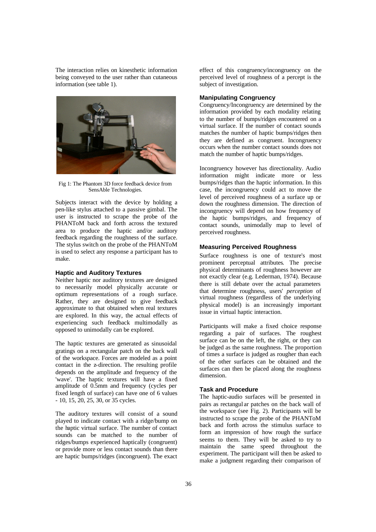The interaction relies on kinesthetic information being conveyed to the user rather than cutaneous information (see table 1).



Fig 1: The Phantom 3D force feedback device from SensAble Technologies.

Subjects interact with the device by holding a pen-like stylus attached to a passive gimbal. The user is instructed to scrape the probe of the PHANToM back and forth across the textured area to produce the haptic and/or auditory feedback regarding the roughness of the surface. The stylus switch on the probe of the PHANToM is used to select any response a participant has to make.

#### **Haptic and Auditory Textures**

Neither haptic nor auditory textures are designed to necessarily model physically accurate or optimum representations of a rough surface. Rather, they are designed to give feedback approximate to that obtained when real textures are explored. In this way, the actual effects of experiencing such feedback multimodally as opposed to unimodally can be explored.

The haptic textures are generated as sinusoidal gratings on a rectangular patch on the back wall of the workspace. Forces are modeled as a point contact in the z-direction. The resulting profile depends on the amplitude and frequency of the 'wave'. The haptic textures will have a fixed amplitude of 0.5mm and frequency (cycles per fixed length of surface) can have one of 6 values - 10, 15, 20, 25, 30, or 35 cycles.

The auditory textures will consist of a sound played to indicate contact with a ridge/bump on the haptic virtual surface. The number of contact sounds can be matched to the number of ridges/bumps experienced haptically (congruent) or provide more or less contact sounds than there are haptic bumps/ridges (incongruent). The exact

effect of this congruency/incongruency on the perceived level of roughness of a percept is the subject of investigation.

# **Manipulating Congruency**

Congruency/Incongruency are determined by the information provided by each modality relating to the number of bumps/ridges encountered on a virtual surface. If the number of contact sounds matches the number of haptic bumps/ridges then they are defined as congruent. Incongruency occurs when the number contact sounds does not match the number of haptic bumps/ridges.

Incongruency however has directionality. Audio information might indicate more or less bumps/ridges than the haptic information. In this case, the incongruency could act to move the level of perceived roughness of a surface up or down the roughness dimension. The direction of incongruency will depend on how frequency of the haptic bumps/ridges, and frequency of contact sounds, unimodally map to level of perceived roughness.

# **Measuring Perceived Roughness**

Surface roughness is one of texture's most prominent perceptual attributes. The precise physical determinants of roughness however are not exactly clear (e.g. Lederman, 1974). Because there is still debate over the actual parameters that determine roughness, users' *perception* of virtual roughness (regardless of the underlying physical model) is an increasingly important issue in virtual haptic interaction.

Participants will make a fixed choice response regarding a pair of surfaces. The roughest surface can be on the left, the right, or they can be judged as the same roughness. The proportion of times a surface is judged as rougher than each of the other surfaces can be obtained and the surfaces can then be placed along the roughness dimension.

# **Task and Procedure**

The haptic-audio surfaces will be presented in pairs as rectangul ar patches on the back wall of the workspace (see Fig. 2). Participants will be instructed to scrape the probe of the PHANToM back and forth across the stimulus surface to form an impression of how rough the surface seems to them. They will be asked to try to maintain the same speed throughout the experiment. The participant will then be asked to make a judgment regarding their comparison of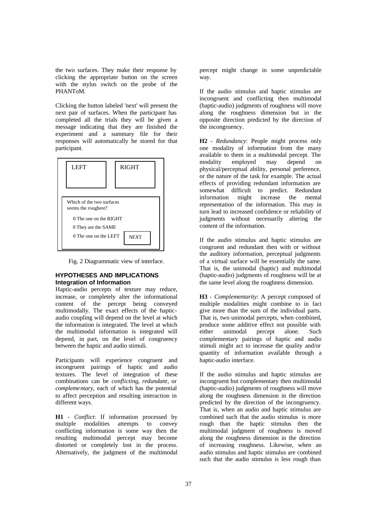the two surfaces. They make their response by clicking the appropriate button on the screen with the stylus switch on the probe of the PHANToM.

Clicking the button labeled 'next' will present the next pair of surfaces. When the participant has completed all the trials they will be given a message indicating that they are finished the experiment and a summary file for their responses will automatically be stored for that participant.



Fig. 2 Diagrammatic view of interface.

# **HYPOTHESES AND IMPLICATIONS Integration of Information**

Haptic-audio percepts of texture may reduce, increase, or completely alter the informational content of the percept being conveyed multimodally. The exact effects of the hapticaudio coupling will depend on the level at which the information is integrated. The level at which the multimodal information is integrated will depend, in part, on the level of congruency between the haptic and audio stimuli.

Participants will experience congruent and incongruent pairings of haptic and audio textures. The level of integration of these combinations can be *conflicting*, *redundant*, or *complementary,* each of which has the potential to affect perception and resulting interaction in different ways.

**H1** *- Conflict*: If information processed by multiple modalities attempts to convey conflicting information is some way then the resulting multimodal percept may become distorted or completely lost in the process. Alternatively, the judgment of the multimodal percept might change in some unpredictable way.

If the audio stimulus and haptic stimulus are incongruent and conflicting then multimodal (haptic-audio) judgments of roughness will move along the roughness dimension but in the opposite direction predicted by the direction of the incongruency.

**H2** *- Redundancy*: People might process only one modality of information from the many available to them in a multimodal percept. The modality employed may depend on physical/perceptual ability, personal preference, or the nature of the task for example. The actual effects of providing redundant information are somewhat difficult to predict. Redundant information might increase the mental representation of the information. This may in turn lead to increased confidence or reliability of judgments without necessarily altering the content of the information.

If the audio stimulus and haptic stimulus are congruent and redundant then with or without the auditory information, perceptual judgments of a virtual surface will be essentially the same. That is, the unimodal (haptic) and multimodal (haptic-audio) judgments of roughness will be at the same level along the roughness dimension.

**H3** *- Complementarity*: A percept composed of multiple modalities might combine to in fact give more than the sum of the individual parts. That is, two unimodal percepts, when combined, produce some additive effect not possible with<br>either unimodal percept alone. Such either unimodal percept alone. Such complementary pairings of haptic and audio stimuli might act to increase the quality and/or quantity of information available through a haptic-audio interface.

If the audio stimulus and haptic stimulus are incongruent but complementary then multimodal (haptic-audio) judgments of roughness will move along the roughness dimension in the direction predicted by the direction of the incongruency. That is, when an audio and haptic stimulus are combined such that the audio stimulus is more rough than the haptic stimulus then the multimodal judgment of roughness is moved along the roughness dimension in the direction of increasing roughness. Likewise, when an audio stimulus and haptic stimulus are combined such that the audio stimulus is less rough than